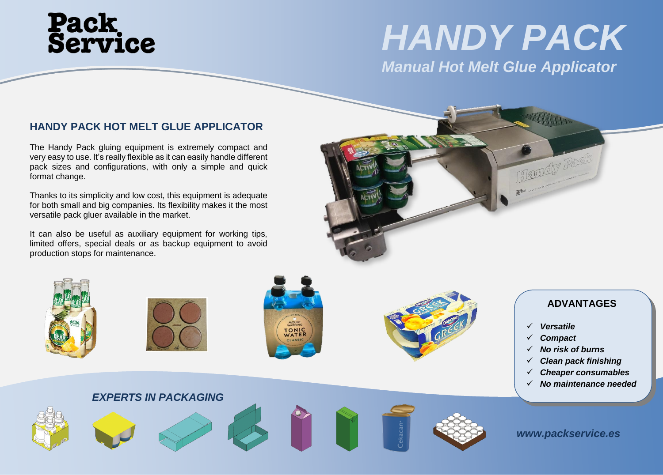# **Pack<br>Service**

### *HANDY PACK*

### *Manual Hot Melt Glue Applicator*

### **HANDY PACK HOT MELT GLUE APPLICATOR**

The Handy Pack gluing equipment is extremely compact and very easy to use. It's really flexible as it can easily handle different pack sizes and configurations, with only a simple and quick format change.

Thanks to its simplicity and low cost, this equipment is adequate for both small and big companies. Its flexibility makes it the most versatile pack gluer available in the market.

It can also be useful as auxiliary equipment for working tips, limited offers, special deals or as backup equipment to avoid production stops for maintenance.











### **ADVANTAGES**

- ✓ *Versatile*
- ✓ *Compact*
- ✓ *No risk of burns*
- **Clean pack finishing**
- ✓ *Cheaper consumables*
- ✓ *No maintenance needed*

*EXPERTS IN PACKAGING*